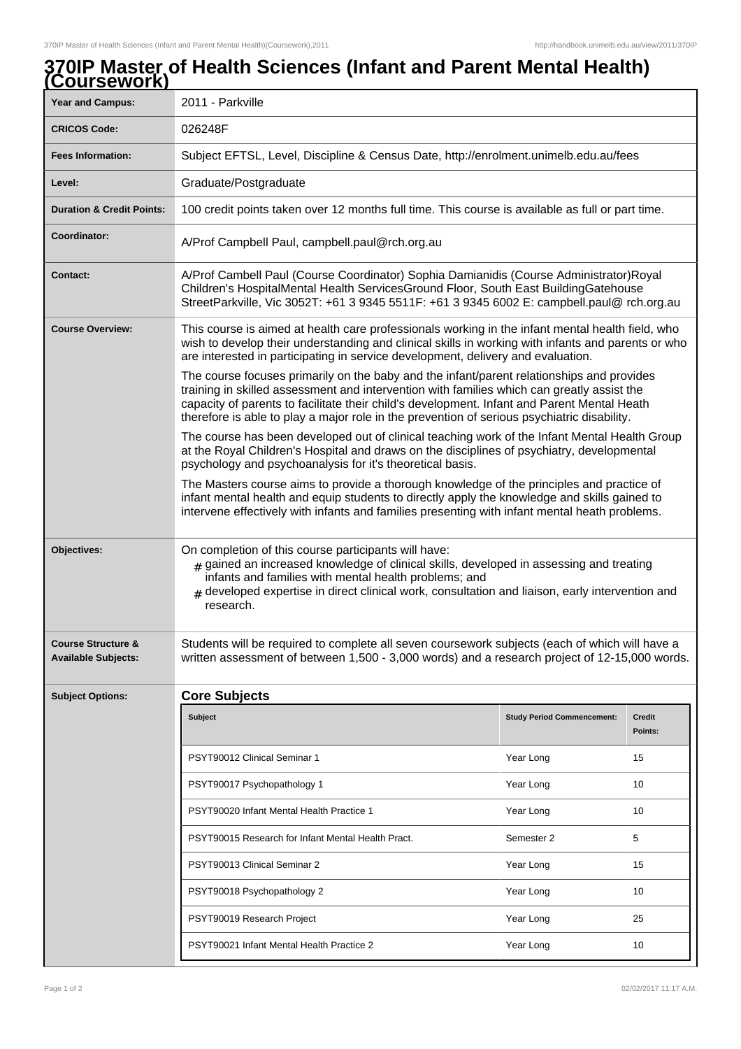## **370IP Master of Health Sciences (Infant and Parent Mental Health) (Coursework)**

| Year and Campus:                                            | 2011 - Parkville                                                                                                                                                                                                                                                                                                                                                                      |                                   |                          |
|-------------------------------------------------------------|---------------------------------------------------------------------------------------------------------------------------------------------------------------------------------------------------------------------------------------------------------------------------------------------------------------------------------------------------------------------------------------|-----------------------------------|--------------------------|
| <b>CRICOS Code:</b>                                         | 026248F                                                                                                                                                                                                                                                                                                                                                                               |                                   |                          |
| <b>Fees Information:</b>                                    | Subject EFTSL, Level, Discipline & Census Date, http://enrolment.unimelb.edu.au/fees                                                                                                                                                                                                                                                                                                  |                                   |                          |
| Level:                                                      | Graduate/Postgraduate                                                                                                                                                                                                                                                                                                                                                                 |                                   |                          |
| <b>Duration &amp; Credit Points:</b>                        | 100 credit points taken over 12 months full time. This course is available as full or part time.                                                                                                                                                                                                                                                                                      |                                   |                          |
| <b>Coordinator:</b>                                         | A/Prof Campbell Paul, campbell.paul@rch.org.au                                                                                                                                                                                                                                                                                                                                        |                                   |                          |
| <b>Contact:</b>                                             | A/Prof Cambell Paul (Course Coordinator) Sophia Damianidis (Course Administrator)Royal<br>Children's HospitalMental Health ServicesGround Floor, South East BuildingGatehouse<br>StreetParkville, Vic 3052T: +61 3 9345 5511F: +61 3 9345 6002 E: campbell.paul@ rch.org.au                                                                                                           |                                   |                          |
| <b>Course Overview:</b>                                     | This course is aimed at health care professionals working in the infant mental health field, who<br>wish to develop their understanding and clinical skills in working with infants and parents or who<br>are interested in participating in service development, delivery and evaluation.                                                                                            |                                   |                          |
|                                                             | The course focuses primarily on the baby and the infant/parent relationships and provides<br>training in skilled assessment and intervention with families which can greatly assist the<br>capacity of parents to facilitate their child's development. Infant and Parent Mental Heath<br>therefore is able to play a major role in the prevention of serious psychiatric disability. |                                   |                          |
|                                                             | The course has been developed out of clinical teaching work of the Infant Mental Health Group<br>at the Royal Children's Hospital and draws on the disciplines of psychiatry, developmental<br>psychology and psychoanalysis for it's theoretical basis.                                                                                                                              |                                   |                          |
|                                                             | The Masters course aims to provide a thorough knowledge of the principles and practice of<br>infant mental health and equip students to directly apply the knowledge and skills gained to<br>intervene effectively with infants and families presenting with infant mental heath problems.                                                                                            |                                   |                          |
| Objectives:                                                 | On completion of this course participants will have:<br>gained an increased knowledge of clinical skills, developed in assessing and treating<br>infants and families with mental health problems; and<br>$_{\#}$ developed expertise in direct clinical work, consultation and liaison, early intervention and<br>research.                                                          |                                   |                          |
| <b>Course Structure &amp;</b><br><b>Available Subjects:</b> | Students will be required to complete all seven coursework subjects (each of which will have a<br>written assessment of between 1,500 - 3,000 words) and a research project of 12-15,000 words.                                                                                                                                                                                       |                                   |                          |
| <b>Subject Options:</b>                                     | <b>Core Subjects</b>                                                                                                                                                                                                                                                                                                                                                                  |                                   |                          |
|                                                             | Subject                                                                                                                                                                                                                                                                                                                                                                               | <b>Study Period Commencement:</b> | <b>Credit</b><br>Points: |
|                                                             | PSYT90012 Clinical Seminar 1                                                                                                                                                                                                                                                                                                                                                          | Year Long                         | 15                       |
|                                                             | PSYT90017 Psychopathology 1                                                                                                                                                                                                                                                                                                                                                           | Year Long                         | 10                       |
|                                                             | PSYT90020 Infant Mental Health Practice 1                                                                                                                                                                                                                                                                                                                                             | Year Long                         | 10                       |
|                                                             | PSYT90015 Research for Infant Mental Health Pract.                                                                                                                                                                                                                                                                                                                                    | Semester 2                        | 5                        |
|                                                             | PSYT90013 Clinical Seminar 2                                                                                                                                                                                                                                                                                                                                                          | Year Long                         | 15                       |
|                                                             | PSYT90018 Psychopathology 2                                                                                                                                                                                                                                                                                                                                                           | Year Long                         | 10                       |
|                                                             | PSYT90019 Research Project                                                                                                                                                                                                                                                                                                                                                            | Year Long                         | 25                       |
|                                                             | PSYT90021 Infant Mental Health Practice 2                                                                                                                                                                                                                                                                                                                                             | Year Long                         | 10                       |